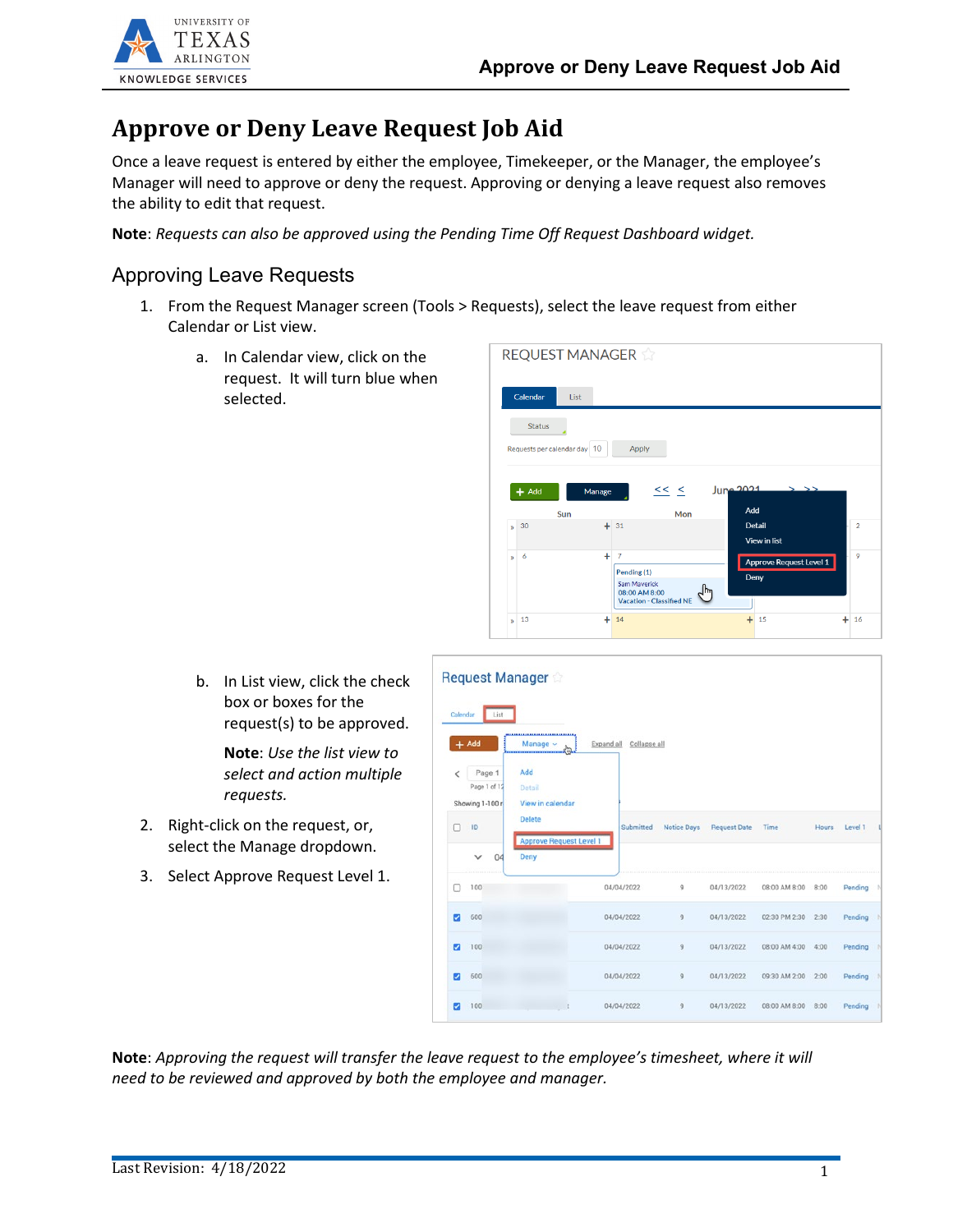

## **Approve or Deny Leave Request Job Aid**

Once a leave request is entered by either the employee, Timekeeper, or the Manager, the employee's Manager will need to approve or deny the request. Approving or denying a leave request also removes the ability to edit that request.

**Note**: *Requests can also be approved using the Pending Time Off Request Dashboard widget.*

## Approving Leave Requests

- 1. From the Request Manager screen (Tools > Requests), select the leave request from either Calendar or List view.
	- a. In Calendar view, click on the request. It will turn blue when selected.

|              | Calendar<br><b>List</b>      |                     |                                                                                        |                                       |                |
|--------------|------------------------------|---------------------|----------------------------------------------------------------------------------------|---------------------------------------|----------------|
|              | <b>Status</b>                |                     |                                                                                        |                                       |                |
|              | Requests per calendar day 10 |                     | Apply                                                                                  |                                       |                |
|              | $+$ Add                      | Manage              | $<<$ $<$                                                                               | June 2021                             |                |
|              | Sun                          |                     | Mon                                                                                    | Add                                   |                |
| $\mathbf{w}$ | 30                           | $+31$               |                                                                                        | <b>Detail</b><br>View in list         | $\overline{2}$ |
| $\mathbf{v}$ | 6                            | ÷<br>$\overline{7}$ | Pending (1)<br><b>Sam Maverick</b><br>08:00 AM 8:00<br><b>Vacation - Classified NE</b> | Approve Request Level 1<br>Deny<br>hm |                |

b. In List view, click the check box or boxes for the request(s) to be approved.

> **Note**: *Use the list view to select and action multiple requests.*

- 2. Right-click on the request, or, select the Manage dropdown.
- 3. Select Approve Request Level 1.

|                |                                                 | <b>Request Manager</b>                             |                            |                    |                     |               |              |         |   |
|----------------|-------------------------------------------------|----------------------------------------------------|----------------------------|--------------------|---------------------|---------------|--------------|---------|---|
| Calendar       | List<br>$+$ Add                                 | <br>Manage $\vee$                                  | Collapse all<br>Expand all |                    |                     |               |              |         |   |
| L<br>п         | Page 1<br>Page 1 of 12<br>Showing 1-100 r<br>ID | Add<br>Detail<br>View in calendar<br><b>Delete</b> | Submitted                  | <b>Notice Days</b> | <b>Request Date</b> | Time          | <b>Hours</b> | Level 1 | Ц |
|                | 04                                              | <b>Approve Request Level 1</b><br>Deny             |                            |                    |                     |               |              |         |   |
|                | 100                                             |                                                    | 04/04/2022                 | 9                  | 04/13/2022          | 08:00 AM 8:00 | 8:00         | Pending | N |
| Ø              | 600                                             |                                                    | 04/04/2022                 | $\overline{9}$     | 04/13/2022          | 02:30 PM 2:30 | 2:30         | Pending | N |
| ⊽              | 100                                             |                                                    | 04/04/2022                 | 9                  | 04/13/2022          | 08:00 AM 4:00 | 4:00         | Pending | N |
| $\overline{ }$ | 600                                             |                                                    | 04/04/2022                 | 9                  | 04/13/2022          | 09:30 AM 2:00 | 2:00         | Pending | N |
|                | 100                                             |                                                    | 04/04/2022                 | $\overline{9}$     | 04/13/2022          | 08:00 AM 8:00 | 8:00         | Pending | N |

**Note**: *Approving the request will transfer the leave request to the employee's timesheet, where it will need to be reviewed and approved by both the employee and manager.*